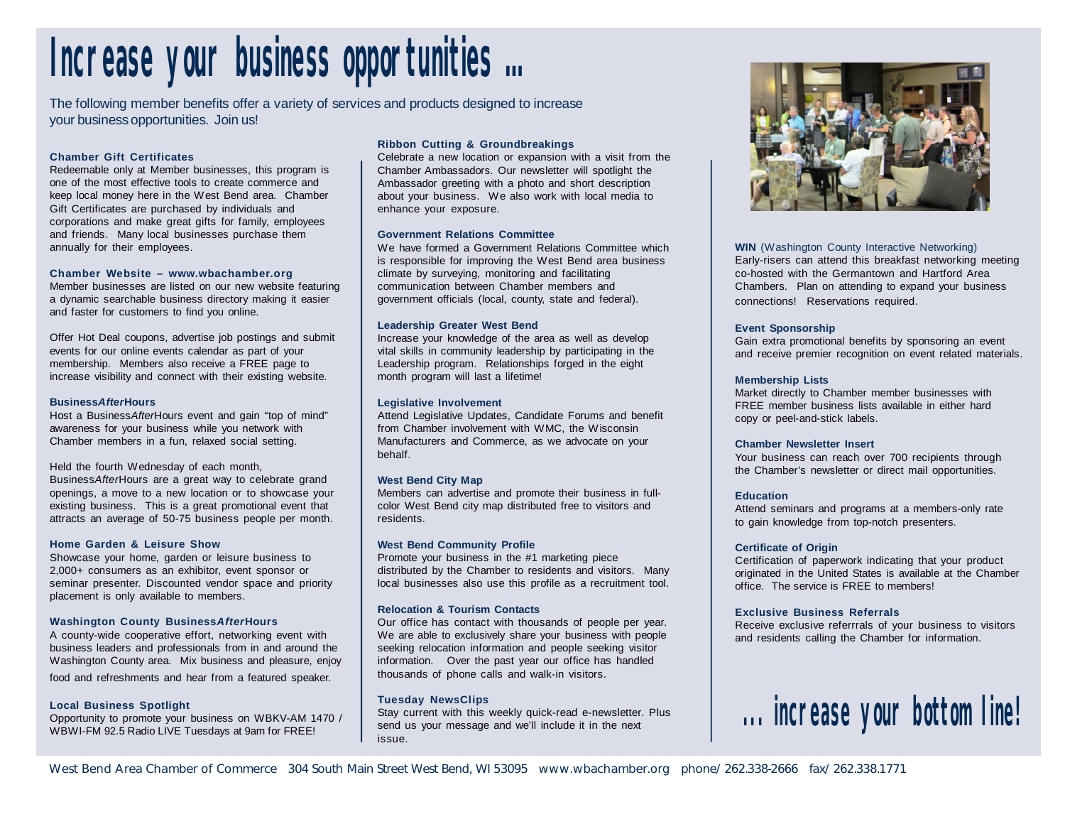# **Increase your business opportunities …**

The following member benefits offer a variety of services and products designed to increase your business opportunities. Join us!

#### **Chamber Gift Certificates**

Redeemable only at Member businesses, this program is one of the most effective tools to create commerce and keep local money here in the West Bend area. Chamber Gift Certificates are purchased by individuals and corporations and make great gifts for family, employees and friends. Many local businesses purchase them annually for their employees.

#### **Chamber Website – www.wbachamber.org**

Member businesses are listed on our new website featuring a dynamic searchable business directory making it easier and faster for customers to find you online.

Offer Hot Deal coupons, advertise job postings and submit events for our online events calendar as part of your membership. Members also receive a FREE page to increase visibility and connect with their existing website.

#### **Business***After***Hours**

Host a Business*After*Hours event and gain "top of mind" awareness for your business while you network with Chamber members in a fun, relaxed social setting.

#### Held the fourth Wednesday of each month,

Business*After*Hours are a great way to celebrate grand openings, a move to a new location or to showcase your existing business. This is a great promotional event that attracts an average of 50-75 business people per month.

#### **Home Garden & Leisure Show**

Showcase your home, garden or leisure business to 2,000+ consumers as an exhibitor, event sponsor or seminar presenter. Discounted vendor space and priority placement is only available to members.

#### **Washington County Business***After***Hours**

A county-wide cooperative effort, networking event with business leaders and professionals from in and around the Washington County area. Mix business and pleasure, enjoy food and refreshments and hear from a featured speaker.

#### **Local Business Spotlight**

Opportunity to promote your business on WBKV-AM 1470 / WBWI-FM 92.5 Radio LIVE Tuesdays at 9am for FREE!

#### **Ribbon Cutting & Groundbreakings**

Celebrate a new location or expansion with a visit from the Chamber Ambassadors. Our newsletter will spotlight the Ambassador greeting with a photo and short description about your business. We also work with local media to enhance your exposure.

#### **Government Relations Committee**

We have formed a Government Relations Committee which is responsible for improving the West Bend area business climate by surveying, monitoring and facilitating communication between Chamber members and government officials (local, county, state and federal).

#### **Leadership Greater West Bend**

Increase your knowledge of the area as well as develop vital skills in community leadership by participating in the Leadership program. Relationships forged in the eight month program will last a lifetime!

#### **Legislative Involvement**

Attend Legislative Updates, Candidate Forums and benefit from Chamber involvement with WMC, the Wisconsin Manufacturers and Commerce, as we advocate on your behalf.

#### **West Bend City Map**

Members can advertise and promote their business in fullcolor West Bend city map distributed free to visitors and residents.

#### **West Bend Community Profile**

Promote your business in the #1 marketing piece distributed by the Chamber to residents and visitors. Many local businesses also use this profile as a recruitment tool.

#### **Relocation & Tourism Contacts**

Our office has contact with thousands of people per year. We are able to exclusively share your business with people seeking relocation information and people seeking visitor information. Over the past year our office has handled thousands of phone calls and walk-in visitors.

#### **Tuesday NewsClips**

Stay current with this weekly quick-read e-newsletter. Plus send us your message and we'll include it in the next issue.



**WIN** (Washington County Interactive Networking) Early-risers can attend this breakfast networking meeting co-hosted with the Germantown and Hartford Area Chambers. Plan on attending to expand your business connections! Reservations required.

#### **Event Sponsorship**

Gain extra promotional benefits by sponsoring an event and receive premier recognition on event related materials.

#### **Membership Lists**

Market directly to Chamber member businesses with FREE member business lists available in either hard copy or peel-and-stick labels.

#### **Chamber Newsletter Insert**

Your business can reach over 700 recipients through the Chamber's newsletter or direct mail opportunities.

#### **Education**

Attend seminars and programs at a members-only rate to gain knowledge from top-notch presenters.

#### **Certificate of Origin**

Certification of paperwork indicating that your product originated in the United States is available at the Chamber office. The service is FREE to members!

#### **Exclusive Business Referrals**

Receive exclusive referrrals of your business to visitors and residents calling the Chamber for information.